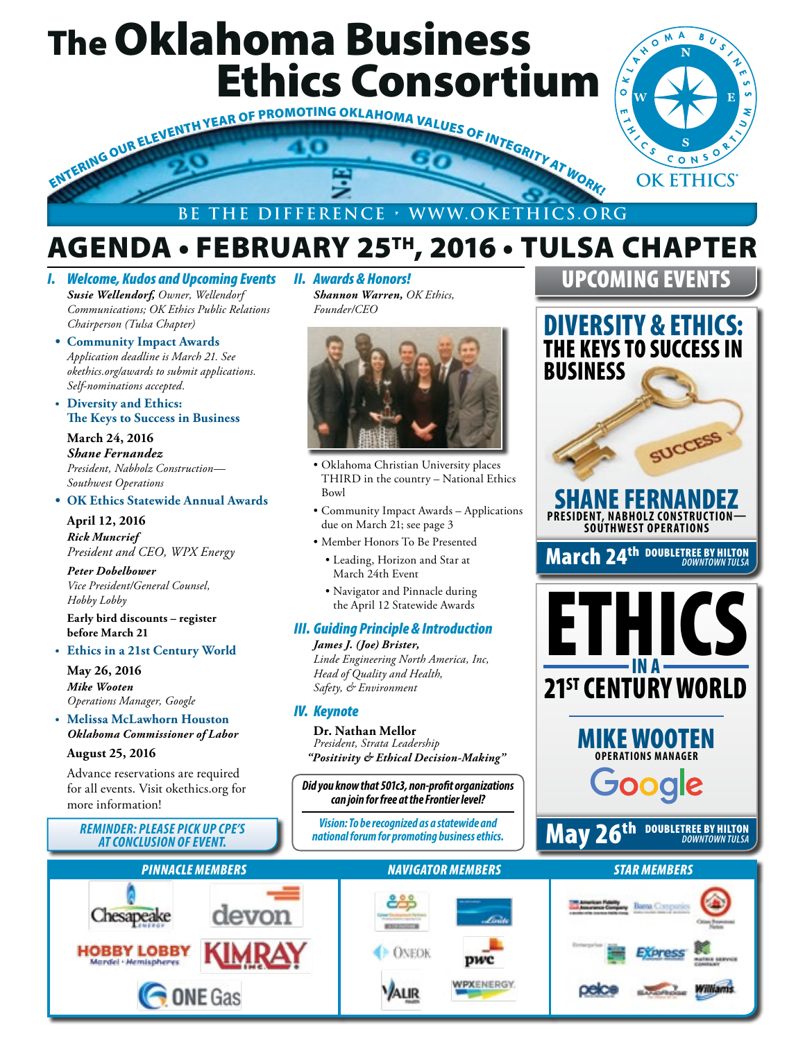# The Oklahoma Business Ethics Consortium



# AGENDA • FEBRUARY 25TH, 2016 • TULSA CHAPTER

*I. Welcome, Kudos and Upcoming Events Susie Wellendorf, Owner, Wellendorf Communications; OK Ethics Public Relations Chairperson (Tulsa Chapter)*

- **• Community Impact Awards**  *Application deadline is March 21. See okethics.org/awards to submit applications. Self-nominations accepted.*
- **• Diversity and Ethics: The Keys to Success in Business**

**March 24, 2016** *Shane Fernandez President, Nabholz Construction— Southwest Operations*

#### **• OK Ethics Statewide Annual Awards**

**April 12, 2016** *Rick Muncrief President and CEO, WPX Energy*

*Peter Dobelbower Vice President/General Counsel, Hobby Lobby*

**Early bird discounts – register before March 21**

#### **• Ethics in a 21st Century World**

**May 26, 2016** *Mike Wooten Operations Manager, Google*

**• Melissa McLawhorn Houston** *Oklahoma Commissioner of Labor*

#### **August 25, 2016**

Advance reservations are required for all events. Visit okethics.org for more information!

## *REMINDER: PLEASE PICK UP CPE'S*



*Shannon Warren, OK Ethics, Founder/CEO*



- Oklahoma Christian University places THIRD in the country – National Ethics Bowl
- Community Impact Awards Applications due on March 21; see page 3
- Member Honors To Be Presented
- Leading, Horizon and Star at March 24th Event
- Navigator and Pinnacle during the April 12 Statewide Awards

#### *III. Guiding Principle & Introduction*

*James J. (Joe) Brister, Linde Engineering North America, Inc, Head of Quality and Health, Safety, & Environment*

#### *IV. Keynote*

**Dr. Nathan Mellor** *President, Strata Leadership "Positivity & Ethical Decision-Making"*

*Did you know that 501c3, non-profit organizations can join for free at the Frontier level?*

*Vision: To be recognized as a statewide and*  IINDER: PLEASE PICK UP CPE'S (Vision: To be recognized as a statewide and **May 26th DOUBLETREE BY HILTON**<br>AT CONCLUSION OF EVENT.

# UPCOMING EVENTS DIVERSITY & ETHICS: THE KEYS TO SUCCESS IN BUSINESS SUCCESS SHANE FERNANDEZ **PRESIDENT, NABHOLZ CONSTRUCTION— SOUTHWEST OPERATIONS**March 24th DOUBLETREE BY HILTON *DOWNTOWN TULSA* ETHICS IN A 21<sup>st</sup> CENTURY WORLD

BU<sub>S</sub>

 $M^A$ ົ໐  $\mathbf{\hat{z}}$ 



## **DOUBLETREE BY HILTON**

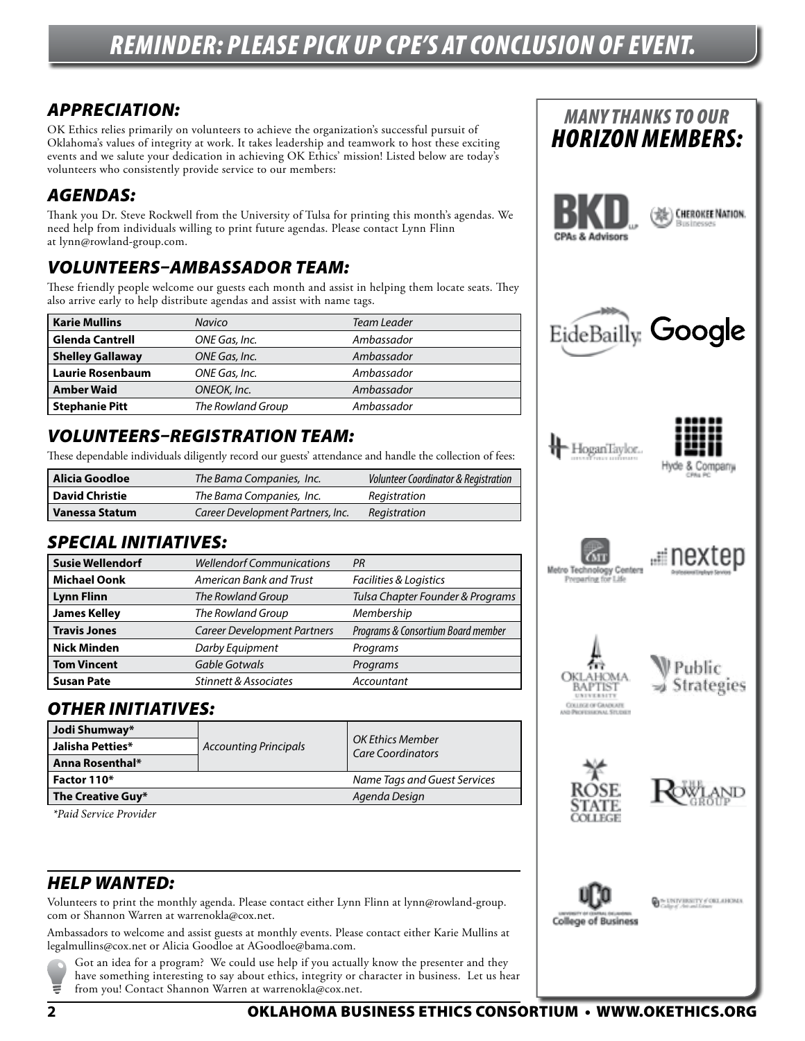## *REMINDER: PLEASE PICK UP CPE'S AT CONCLUSION OF EVENT.*

## *APPRECIATION:*

OK Ethics relies primarily on volunteers to achieve the organization's successful pursuit of Oklahoma's values of integrity at work. It takes leadership and teamwork to host these exciting events and we salute your dedication in achieving OK Ethics' mission! Listed below are today's volunteers who consistently provide service to our members:

### *AGENDAS:*

Thank you Dr. Steve Rockwell from the University of Tulsa for printing this month's agendas. We need help from individuals willing to print future agendas. Please contact Lynn Flinn at lynn@rowland-group.com.

### *VOLUNTEERS–AMBASSADOR TEAM:*

These friendly people welcome our guests each month and assist in helping them locate seats. They also arrive early to help distribute agendas and assist with name tags.

| <b>Karie Mullins</b>    | <b>Navico</b>     | Team Leader |
|-------------------------|-------------------|-------------|
| <b>Glenda Cantrell</b>  | ONE Gas, Inc.     | Ambassador  |
| <b>Shelley Gallaway</b> | ONE Gas, Inc.     | Ambassador  |
| <b>Laurie Rosenbaum</b> | ONE Gas, Inc.     | Ambassador  |
| <b>Amber Waid</b>       | ONEOK, Inc.       | Ambassador  |
| <b>Stephanie Pitt</b>   | The Rowland Group | Ambassador  |

### *VOLUNTEERS–REGISTRATION TEAM:*

These dependable individuals diligently record our guests' attendance and handle the collection of fees:

| Alicia Goodloe        | The Bama Companies, Inc.          | Volunteer Coordinator & Registration |
|-----------------------|-----------------------------------|--------------------------------------|
| <b>David Christie</b> | The Bama Companies, Inc.          | Reaistration                         |
| <b>Vanessa Statum</b> | Career Development Partners, Inc. | Registration                         |

#### *SPECIAL INITIATIVES:*

| <b>Susie Wellendorf</b> | <b>Wellendorf Communications</b>   | PR                                 |
|-------------------------|------------------------------------|------------------------------------|
| <b>Michael Oonk</b>     | American Bank and Trust            | Facilities & Logistics             |
| <b>Lynn Flinn</b>       | The Rowland Group                  | Tulsa Chapter Founder & Programs   |
| <b>James Kelley</b>     | The Rowland Group                  | Membership                         |
| <b>Travis Jones</b>     | <b>Career Development Partners</b> | Programs & Consortium Board member |
| <b>Nick Minden</b>      | Darby Equipment                    | Programs                           |
| <b>Tom Vincent</b>      | <b>Gable Gotwals</b>               | Programs                           |
| <b>Susan Pate</b>       | <b>Stinnett &amp; Associates</b>   | Accountant                         |

#### *OTHER INITIATIVES:*

| Jodi Shumway*     | <b>Accounting Principals</b> | <b>OK Ethics Member</b><br><b>Care Coordinators</b> |
|-------------------|------------------------------|-----------------------------------------------------|
| Jalisha Petties*  |                              |                                                     |
| Anna Rosenthal*   |                              |                                                     |
| Factor 110*       |                              | Name Tags and Guest Services                        |
| The Creative Guy* |                              | Agenda Design                                       |

 *\*Paid Service Provider*

### *HELP WANTED:*

Volunteers to print the monthly agenda. Please contact either Lynn Flinn at lynn@rowland-group. com or Shannon Warren at warrenokla@cox.net.

Ambassadors to welcome and assist guests at monthly events. Please contact either Karie Mullins at legalmullins@cox.net or Alicia Goodloe at AGoodloe@bama.com.

Got an idea for a program? We could use help if you actually know the presenter and they have something interesting to say about ethics, integrity or character in business. Let us hear from you! Contact Shannon Warren at warrenokla@cox.net.

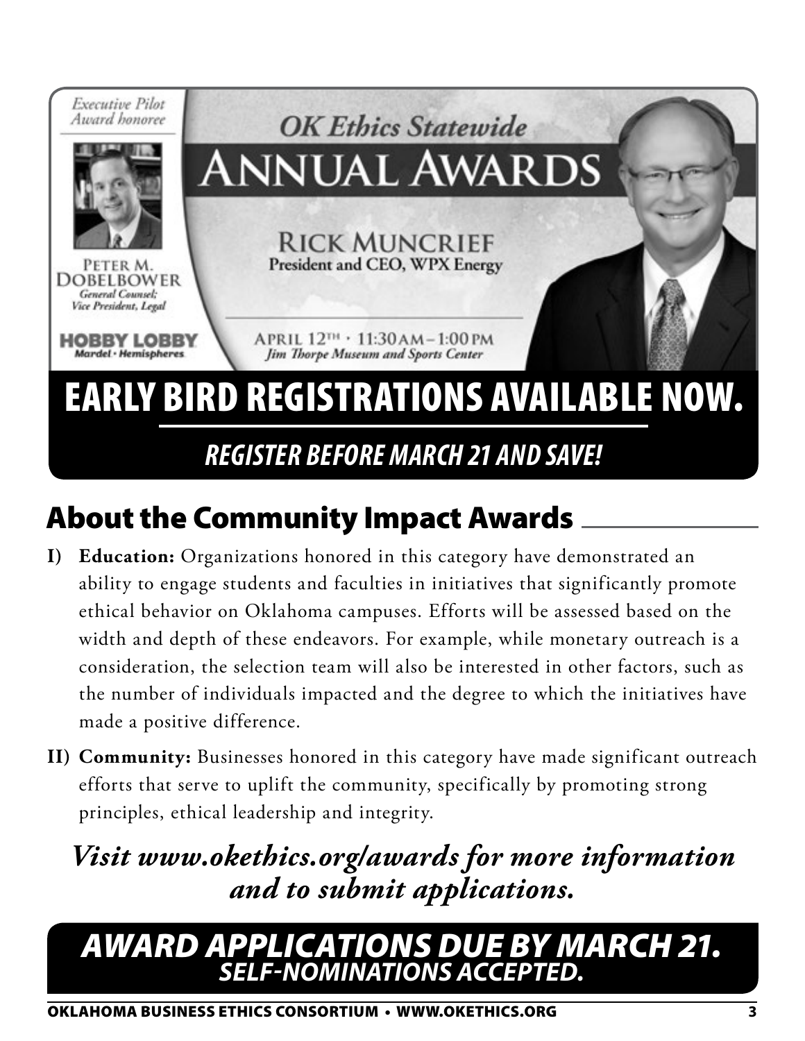

# About the Community Impact Awards

- **I) Education:** Organizations honored in this category have demonstrated an ability to engage students and faculties in initiatives that significantly promote ethical behavior on Oklahoma campuses. Efforts will be assessed based on the width and depth of these endeavors. For example, while monetary outreach is a consideration, the selection team will also be interested in other factors, such as the number of individuals impacted and the degree to which the initiatives have made a positive difference.
- **II) Community:** Businesses honored in this category have made significant outreach efforts that serve to uplift the community, specifically by promoting strong principles, ethical leadership and integrity.

# *Visit www.okethics.org/awards for more information and to submit applications.*

## *AWARD APPLICATIONS DUE BY MARCH 21. SELF-NOMINATIONS ACCEPTED.*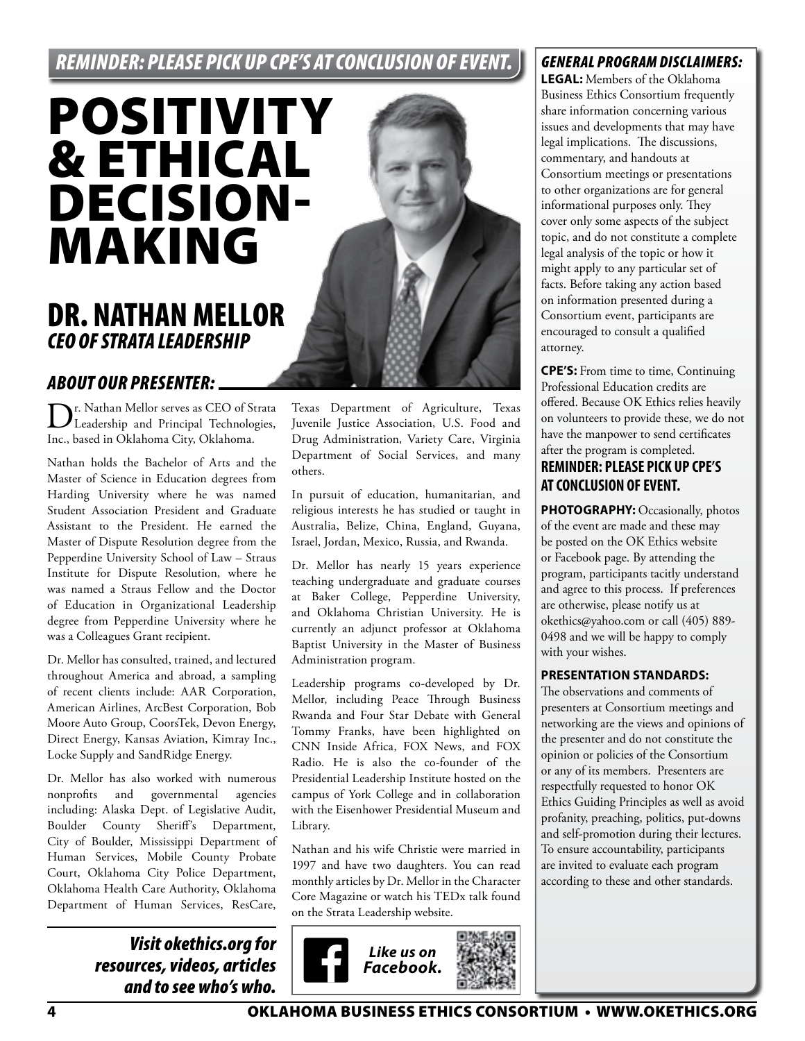## *REMINDER: PLEASE PICK UP CPE'S AT CONCLUSION OF EVENT.*

# POSITIVITY & ETHICAL DECISION-MAKING

## DR. NATHAN MELLOR *CEO OF STRATA LEADERSHIP*

#### *ABOUT OUR PRESENTER:*

Dr. Nathan Mellor serves as CEO of Strata Leadership and Principal Technologies, Inc., based in Oklahoma City, Oklahoma.

Nathan holds the Bachelor of Arts and the Master of Science in Education degrees from Harding University where he was named Student Association President and Graduate Assistant to the President. He earned the Master of Dispute Resolution degree from the Pepperdine University School of Law – Straus Institute for Dispute Resolution, where he was named a Straus Fellow and the Doctor of Education in Organizational Leadership degree from Pepperdine University where he was a Colleagues Grant recipient.

Dr. Mellor has consulted, trained, and lectured throughout America and abroad, a sampling of recent clients include: AAR Corporation, American Airlines, ArcBest Corporation, Bob Moore Auto Group, CoorsTek, Devon Energy, Direct Energy, Kansas Aviation, Kimray Inc., Locke Supply and SandRidge Energy.

Dr. Mellor has also worked with numerous nonprofits and governmental agencies including: Alaska Dept. of Legislative Audit, Boulder County Sheriff's Department, City of Boulder, Mississippi Department of Human Services, Mobile County Probate Court, Oklahoma City Police Department, Oklahoma Health Care Authority, Oklahoma Department of Human Services, ResCare,

> *Visit okethics.org for resources, videos, articles and to see who's who.*

Texas Department of Agriculture, Texas Juvenile Justice Association, U.S. Food and Drug Administration, Variety Care, Virginia Department of Social Services, and many others.

In pursuit of education, humanitarian, and religious interests he has studied or taught in Australia, Belize, China, England, Guyana, Israel, Jordan, Mexico, Russia, and Rwanda.

Dr. Mellor has nearly 15 years experience teaching undergraduate and graduate courses at Baker College, Pepperdine University, and Oklahoma Christian University. He is currently an adjunct professor at Oklahoma Baptist University in the Master of Business Administration program.

Leadership programs co-developed by Dr. Mellor, including Peace Through Business Rwanda and Four Star Debate with General Tommy Franks, have been highlighted on CNN Inside Africa, FOX News, and FOX Radio. He is also the co-founder of the Presidential Leadership Institute hosted on the campus of York College and in collaboration with the Eisenhower Presidential Museum and Library.

Nathan and his wife Christie were married in 1997 and have two daughters. You can read monthly articles by Dr. Mellor in the Character Core Magazine or watch his TEDx talk found on the Strata Leadership website.



#### *GENERAL PROGRAM DISCLAIMERS:*

**LEGAL:** Members of the Oklahoma Business Ethics Consortium frequently share information concerning various issues and developments that may have legal implications. The discussions, commentary, and handouts at Consortium meetings or presentations to other organizations are for general informational purposes only. They cover only some aspects of the subject topic, and do not constitute a complete legal analysis of the topic or how it might apply to any particular set of facts. Before taking any action based on information presented during a Consortium event, participants are encouraged to consult a qualified attorney.

**CPE'S:** From time to time, Continuing Professional Education credits are offered. Because OK Ethics relies heavily on volunteers to provide these, we do not have the manpower to send certificates after the program is completed.

#### **REMINDER: PLEASE PICK UP CPE'S AT CONCLUSION OF EVENT.**

**PHOTOGRAPHY:** Occasionally, photos of the event are made and these may be posted on the OK Ethics website or Facebook page. By attending the program, participants tacitly understand and agree to this process. If preferences are otherwise, please notify us at okethics@yahoo.com or call (405) 889- 0498 and we will be happy to comply with your wishes.

#### **PRESENTATION STANDARDS:**

The observations and comments of presenters at Consortium meetings and networking are the views and opinions of the presenter and do not constitute the opinion or policies of the Consortium or any of its members. Presenters are respectfully requested to honor OK Ethics Guiding Principles as well as avoid profanity, preaching, politics, put-downs and self-promotion during their lectures. To ensure accountability, participants are invited to evaluate each program according to these and other standards.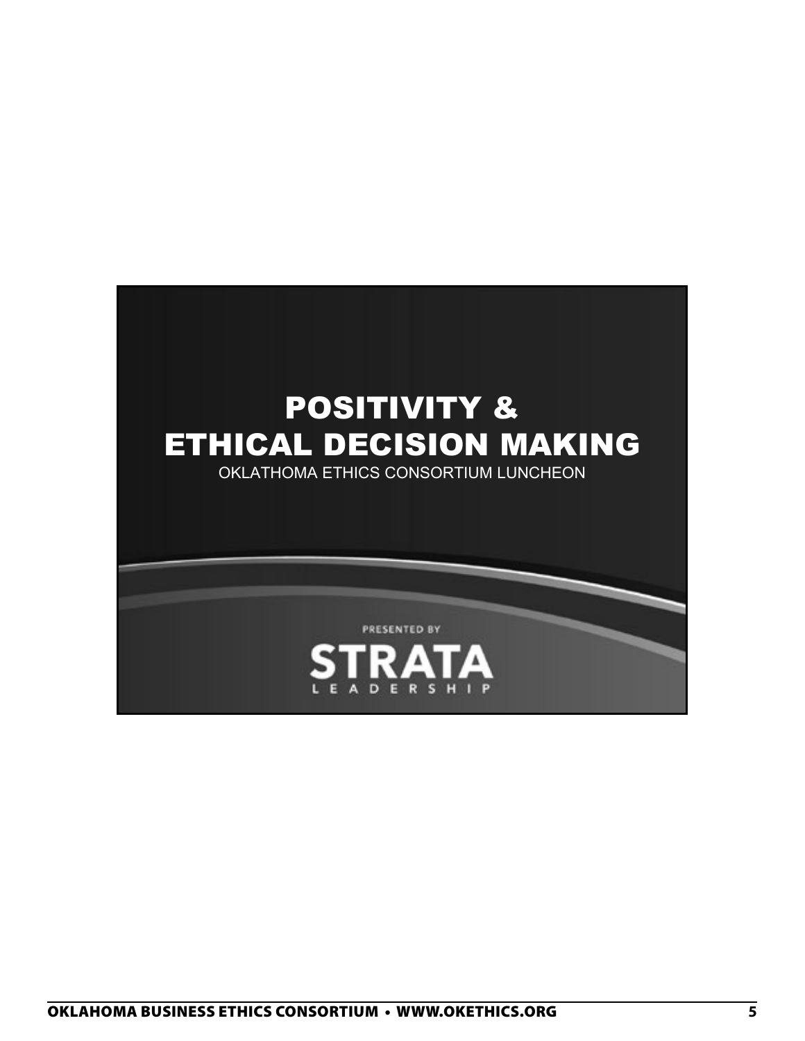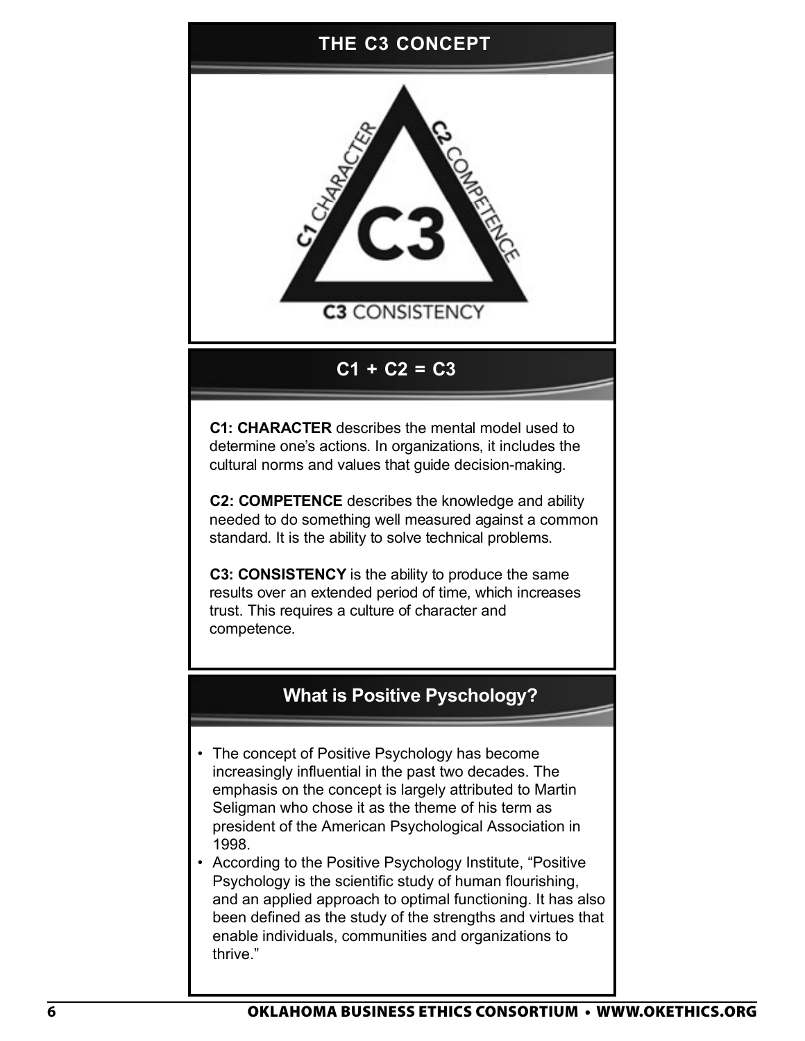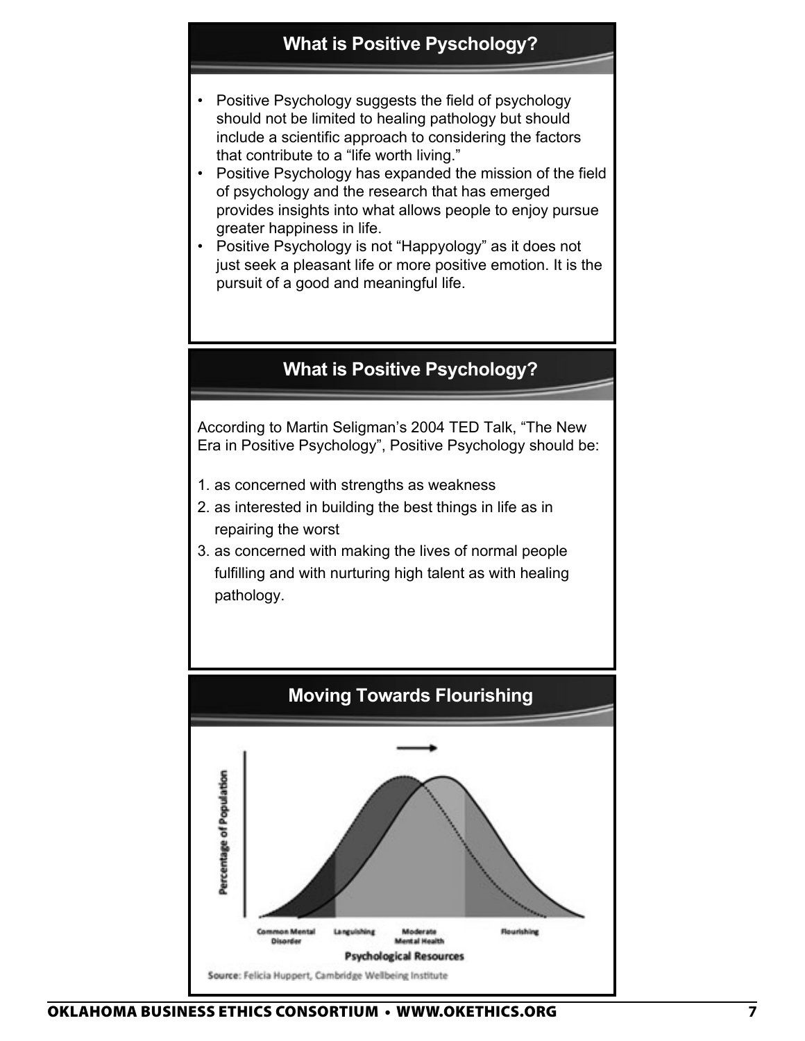### **What is Positive Pyschology?**

- Positive Psychology suggests the field of psychology should not be limited to healing pathology but should include a scientific approach to considering the factors that contribute to a "life worth living."
- Positive Psychology has expanded the mission of the field of psychology and the research that has emerged provides insights into what allows people to enjoy pursue greater happiness in life. 2/8/2016
- Positive Psychology is not "Happyology" as it does not just seek a pleasant life or more positive emotion. It is the pursuit of a good and meaningful life.

#### **What is Positive Psychology?**

According to Martin Seligman's 2004 TED Talk, "The New Era in Positive Psychology", Positive Psychology should be:

- 1. as concerned with strengths as weakness
- 2. as interested in building the best things in life as in repairing the worst
- 3. as concerned with making the lives of normal people fulfilling and with nurturing high talent as with healing pathology.



2/8/2016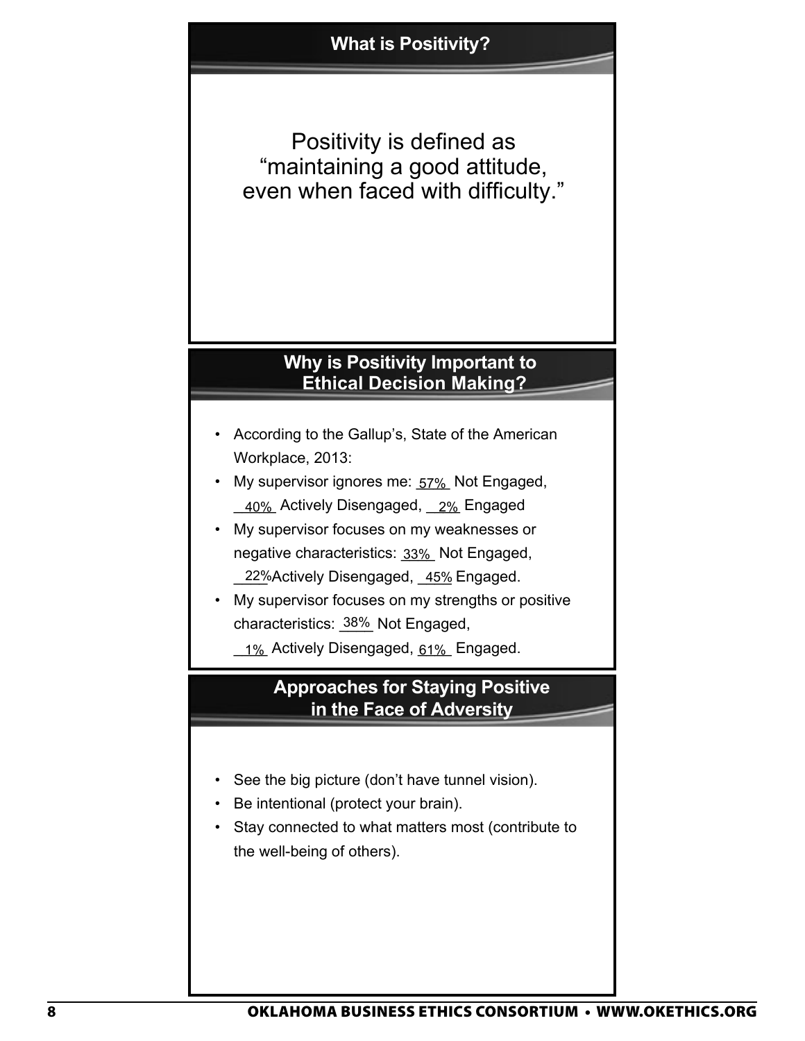Positivity is defined as "maintaining a good attitude, even when faced with difficulty."

#### **Why is Positivity Important to Ethical Decision Making?**

- According to the Gallup's, State of the American Workplace, 2013:
- My supervisor ignores me: **57%** Not Engaged, \_\_40%\_Actively Disengaged, \_\_2%\_Engaged
- My supervisor focuses on my weaknesses or negative characteristics: <u>33%</u>\_Not Engaged, \_22%Actively Disengaged, \_45% Engaged.
- My supervisor focuses on my strengths or positive characteristics: 38% Not Engaged,
	- <u>\_1%</u> Actively Disengaged, <u>61%</u> Engaged.

### **Approaches for Staying Positive in the Face of Adversity**

- See the big picture (don't have tunnel vision).
- Be intentional (protect your brain).
- Stay connected to what matters most (contribute to the well-being of others).

2/8/2016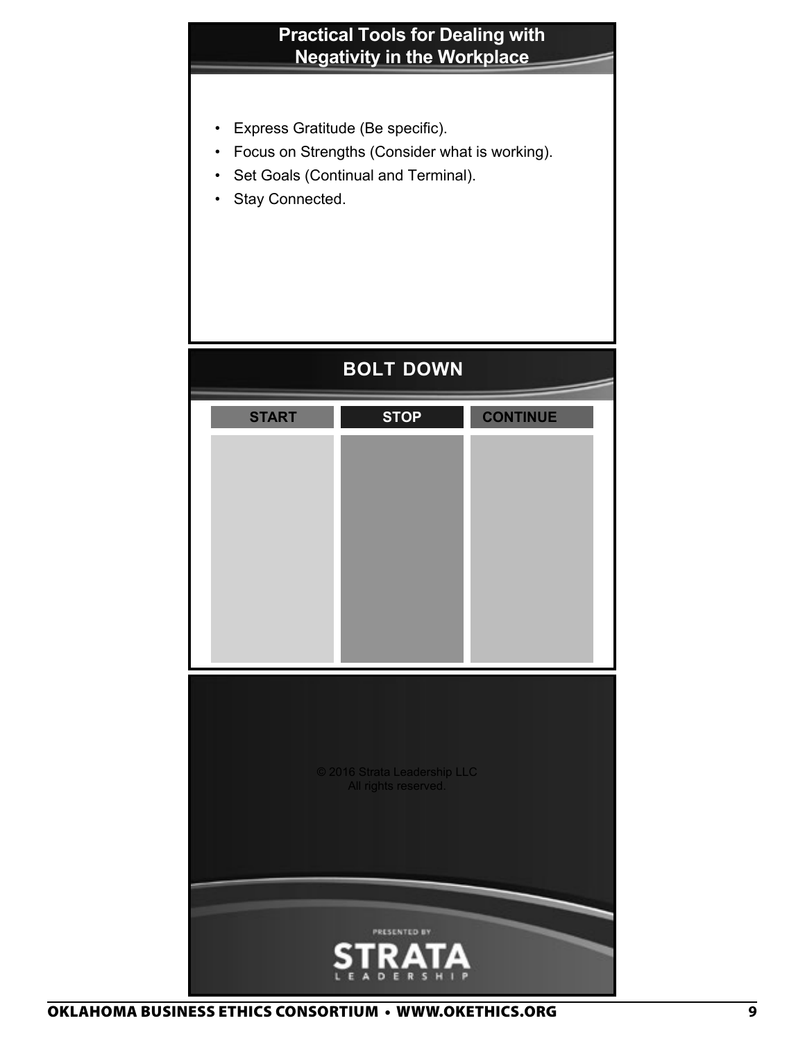## **Practical Tools for Dealing with Negativity in the Workplace**

- Express Gratitude (Be specific).
- Focus on Strengths (Consider what is working).
- Set Goals (Continual and Terminal).
- Stay Connected.